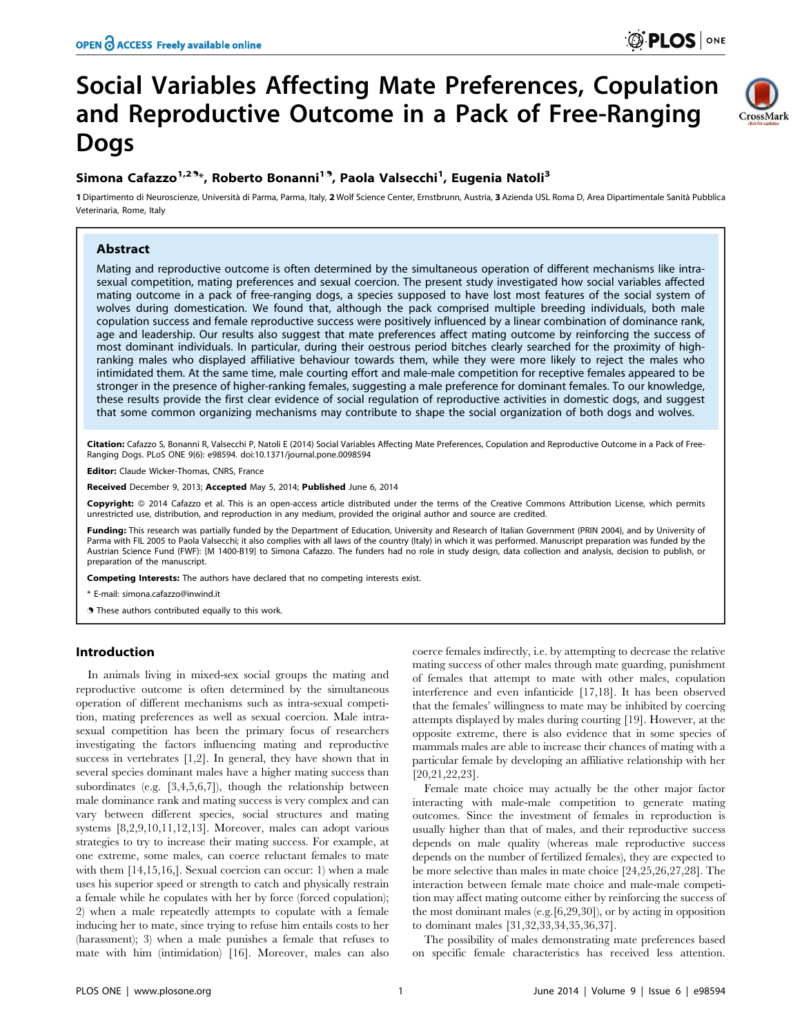# Social Variables Affecting Mate Preferences, Copulation and Reproductive Outcome in a Pack of Free-Ranging Dogs



# Simona Cafazzo<sup>1,29</sup>\*, Roberto Bonanni<sup>19</sup>, Paola Valsecchi<sup>1</sup>, Eugenia Natoli<sup>3</sup>

1 Dipartimento di Neuroscienze, Università di Parma, Parma, Italy, 2 Wolf Science Center, Ernstbrunn, Austria, 3 Azienda USL Roma D, Area Dipartimentale Sanità Pubblica Veterinaria, Rome, Italy

# Abstract

Mating and reproductive outcome is often determined by the simultaneous operation of different mechanisms like intrasexual competition, mating preferences and sexual coercion. The present study investigated how social variables affected mating outcome in a pack of free-ranging dogs, a species supposed to have lost most features of the social system of wolves during domestication. We found that, although the pack comprised multiple breeding individuals, both male copulation success and female reproductive success were positively influenced by a linear combination of dominance rank, age and leadership. Our results also suggest that mate preferences affect mating outcome by reinforcing the success of most dominant individuals. In particular, during their oestrous period bitches clearly searched for the proximity of highranking males who displayed affiliative behaviour towards them, while they were more likely to reject the males who intimidated them. At the same time, male courting effort and male-male competition for receptive females appeared to be stronger in the presence of higher-ranking females, suggesting a male preference for dominant females. To our knowledge, these results provide the first clear evidence of social regulation of reproductive activities in domestic dogs, and suggest that some common organizing mechanisms may contribute to shape the social organization of both dogs and wolves.

Citation: Cafazzo S, Bonanni R, Valsecchi P, Natoli E (2014) Social Variables Affecting Mate Preferences, Copulation and Reproductive Outcome in a Pack of Free-Ranging Dogs. PLoS ONE 9(6): e98594. doi:10.1371/journal.pone.0098594

Editor: Claude Wicker-Thomas, CNRS, France

Received December 9, 2013; Accepted May 5, 2014; Published June 6, 2014

Copyright: © 2014 Cafazzo et al. This is an open-access article distributed under the terms of the [Creative Commons Attribution License,](http://creativecommons.org/licenses/by/4.0/) which permits unrestricted use, distribution, and reproduction in any medium, provided the original author and source are credited.

Funding: This research was partially funded by the Department of Education, University and Research of Italian Government (PRIN 2004), and by University of Parma with FIL 2005 to Paola Valsecchi; it also complies with all laws of the country (Italy) in which it was performed. Manuscript preparation was funded by the Austrian Science Fund (FWF): [M 1400-B19] to Simona Cafazzo. The funders had no role in study design, data collection and analysis, decision to publish, or preparation of the manuscript.

Competing Interests: The authors have declared that no competing interests exist.

\* E-mail: simona.cafazzo@inwind.it

. These authors contributed equally to this work.

# Introduction

In animals living in mixed-sex social groups the mating and reproductive outcome is often determined by the simultaneous operation of different mechanisms such as intra-sexual competition, mating preferences as well as sexual coercion. Male intrasexual competition has been the primary focus of researchers investigating the factors influencing mating and reproductive success in vertebrates [1,2]. In general, they have shown that in several species dominant males have a higher mating success than subordinates (e.g. [3,4,5,6,7]), though the relationship between male dominance rank and mating success is very complex and can vary between different species, social structures and mating systems [8,2,9,10,11,12,13]. Moreover, males can adopt various strategies to try to increase their mating success. For example, at one extreme, some males, can coerce reluctant females to mate with them [14,15,16,]. Sexual coercion can occur: 1) when a male uses his superior speed or strength to catch and physically restrain a female while he copulates with her by force (forced copulation); 2) when a male repeatedly attempts to copulate with a female inducing her to mate, since trying to refuse him entails costs to her (harassment); 3) when a male punishes a female that refuses to mate with him (intimidation) [16]. Moreover, males can also

coerce females indirectly, i.e. by attempting to decrease the relative mating success of other males through mate guarding, punishment of females that attempt to mate with other males, copulation interference and even infanticide [17,18]. It has been observed that the females' willingness to mate may be inhibited by coercing attempts displayed by males during courting [19]. However, at the opposite extreme, there is also evidence that in some species of mammals males are able to increase their chances of mating with a particular female by developing an affiliative relationship with her [20,21,22,23].

Female mate choice may actually be the other major factor interacting with male-male competition to generate mating outcomes. Since the investment of females in reproduction is usually higher than that of males, and their reproductive success depends on male quality (whereas male reproductive success depends on the number of fertilized females), they are expected to be more selective than males in mate choice [24,25,26,27,28]. The interaction between female mate choice and male-male competition may affect mating outcome either by reinforcing the success of the most dominant males (e.g.[6,29,30]), or by acting in opposition to dominant males [31,32,33,34,35,36,37].

The possibility of males demonstrating mate preferences based on specific female characteristics has received less attention.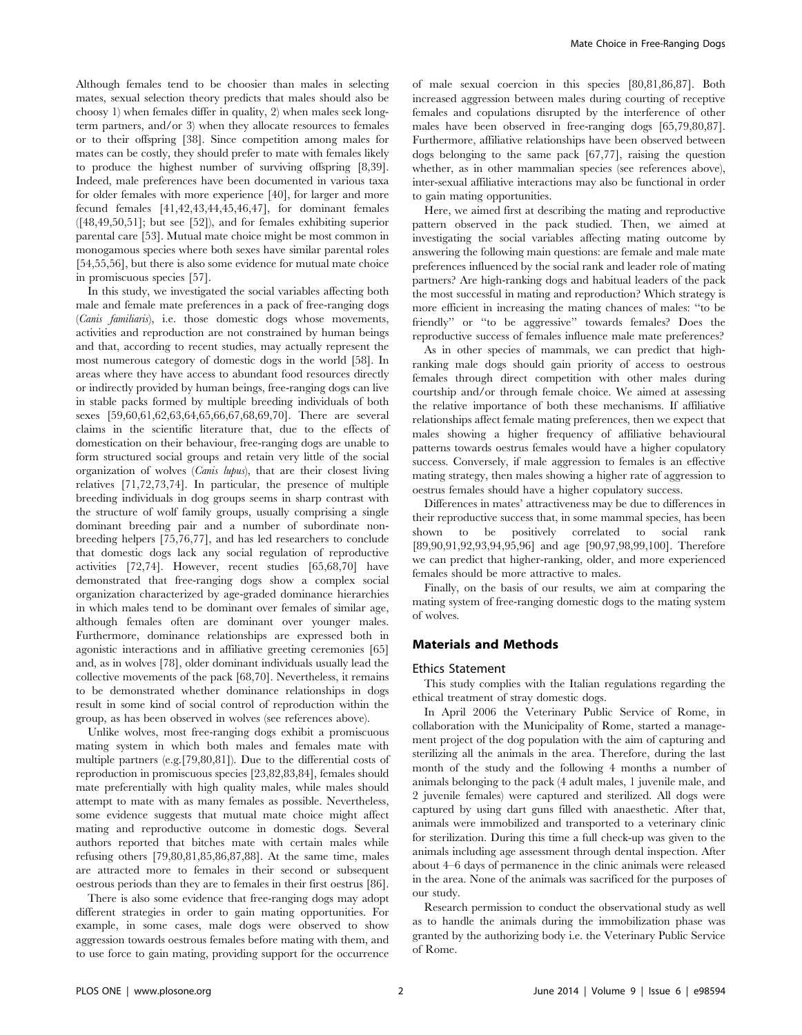Although females tend to be choosier than males in selecting mates, sexual selection theory predicts that males should also be choosy 1) when females differ in quality, 2) when males seek longterm partners, and/or 3) when they allocate resources to females or to their offspring [38]. Since competition among males for mates can be costly, they should prefer to mate with females likely to produce the highest number of surviving offspring [8,39]. Indeed, male preferences have been documented in various taxa for older females with more experience [40], for larger and more fecund females [41,42,43,44,45,46,47], for dominant females ([48,49,50,51]; but see [52]), and for females exhibiting superior parental care [53]. Mutual mate choice might be most common in monogamous species where both sexes have similar parental roles [54,55,56], but there is also some evidence for mutual mate choice in promiscuous species [57].

In this study, we investigated the social variables affecting both male and female mate preferences in a pack of free-ranging dogs (Canis familiaris), i.e. those domestic dogs whose movements, activities and reproduction are not constrained by human beings and that, according to recent studies, may actually represent the most numerous category of domestic dogs in the world [58]. In areas where they have access to abundant food resources directly or indirectly provided by human beings, free-ranging dogs can live in stable packs formed by multiple breeding individuals of both sexes [59,60,61,62,63,64,65,66,67,68,69,70]. There are several claims in the scientific literature that, due to the effects of domestication on their behaviour, free-ranging dogs are unable to form structured social groups and retain very little of the social organization of wolves (Canis lupus), that are their closest living relatives [71,72,73,74]. In particular, the presence of multiple breeding individuals in dog groups seems in sharp contrast with the structure of wolf family groups, usually comprising a single dominant breeding pair and a number of subordinate nonbreeding helpers [75,76,77], and has led researchers to conclude that domestic dogs lack any social regulation of reproductive activities [72,74]. However, recent studies [65,68,70] have demonstrated that free-ranging dogs show a complex social organization characterized by age-graded dominance hierarchies in which males tend to be dominant over females of similar age, although females often are dominant over younger males. Furthermore, dominance relationships are expressed both in agonistic interactions and in affiliative greeting ceremonies [65] and, as in wolves [78], older dominant individuals usually lead the collective movements of the pack [68,70]. Nevertheless, it remains to be demonstrated whether dominance relationships in dogs result in some kind of social control of reproduction within the group, as has been observed in wolves (see references above).

Unlike wolves, most free-ranging dogs exhibit a promiscuous mating system in which both males and females mate with multiple partners (e.g.[79,80,81]). Due to the differential costs of reproduction in promiscuous species [23,82,83,84], females should mate preferentially with high quality males, while males should attempt to mate with as many females as possible. Nevertheless, some evidence suggests that mutual mate choice might affect mating and reproductive outcome in domestic dogs. Several authors reported that bitches mate with certain males while refusing others [79,80,81,85,86,87,88]. At the same time, males are attracted more to females in their second or subsequent oestrous periods than they are to females in their first oestrus [86].

There is also some evidence that free-ranging dogs may adopt different strategies in order to gain mating opportunities. For example, in some cases, male dogs were observed to show aggression towards oestrous females before mating with them, and to use force to gain mating, providing support for the occurrence

of male sexual coercion in this species [80,81,86,87]. Both increased aggression between males during courting of receptive females and copulations disrupted by the interference of other males have been observed in free-ranging dogs [65,79,80,87]. Furthermore, affiliative relationships have been observed between dogs belonging to the same pack [67,77], raising the question whether, as in other mammalian species (see references above), inter-sexual affiliative interactions may also be functional in order to gain mating opportunities.

Here, we aimed first at describing the mating and reproductive pattern observed in the pack studied. Then, we aimed at investigating the social variables affecting mating outcome by answering the following main questions: are female and male mate preferences influenced by the social rank and leader role of mating partners? Are high-ranking dogs and habitual leaders of the pack the most successful in mating and reproduction? Which strategy is more efficient in increasing the mating chances of males: ''to be friendly'' or ''to be aggressive'' towards females? Does the reproductive success of females influence male mate preferences?

As in other species of mammals, we can predict that highranking male dogs should gain priority of access to oestrous females through direct competition with other males during courtship and/or through female choice. We aimed at assessing the relative importance of both these mechanisms. If affiliative relationships affect female mating preferences, then we expect that males showing a higher frequency of affiliative behavioural patterns towards oestrus females would have a higher copulatory success. Conversely, if male aggression to females is an effective mating strategy, then males showing a higher rate of aggression to oestrus females should have a higher copulatory success.

Differences in mates' attractiveness may be due to differences in their reproductive success that, in some mammal species, has been shown to be positively correlated to social rank [89,90,91,92,93,94,95,96] and age [90,97,98,99,100]. Therefore we can predict that higher-ranking, older, and more experienced females should be more attractive to males.

Finally, on the basis of our results, we aim at comparing the mating system of free-ranging domestic dogs to the mating system of wolves.

# Materials and Methods

# Ethics Statement

This study complies with the Italian regulations regarding the ethical treatment of stray domestic dogs.

In April 2006 the Veterinary Public Service of Rome, in collaboration with the Municipality of Rome, started a management project of the dog population with the aim of capturing and sterilizing all the animals in the area. Therefore, during the last month of the study and the following 4 months a number of animals belonging to the pack (4 adult males, 1 juvenile male, and 2 juvenile females) were captured and sterilized. All dogs were captured by using dart guns filled with anaesthetic. After that, animals were immobilized and transported to a veterinary clinic for sterilization. During this time a full check-up was given to the animals including age assessment through dental inspection. After about 4–6 days of permanence in the clinic animals were released in the area. None of the animals was sacrificed for the purposes of our study.

Research permission to conduct the observational study as well as to handle the animals during the immobilization phase was granted by the authorizing body i.e. the Veterinary Public Service of Rome.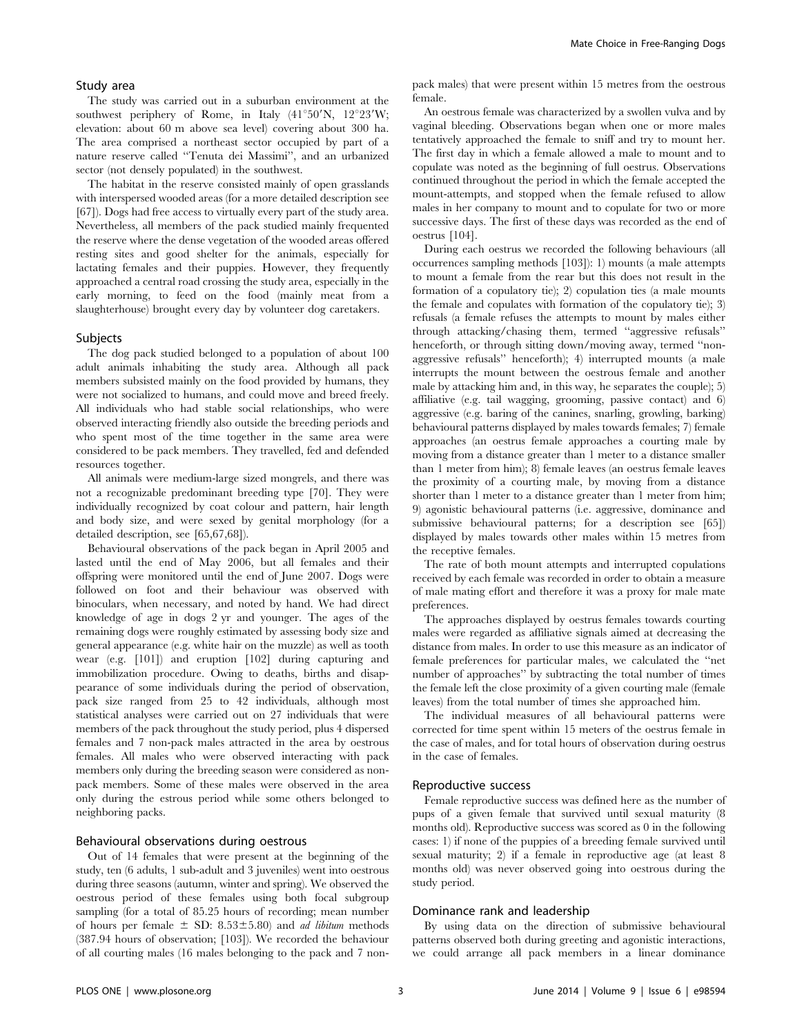#### Study area

The study was carried out in a suburban environment at the southwest periphery of Rome, in Italy  $(41^{\circ}50^{\prime}N, 12^{\circ}23^{\prime}W;$ elevation: about 60 m above sea level) covering about 300 ha. The area comprised a northeast sector occupied by part of a nature reserve called ''Tenuta dei Massimi'', and an urbanized sector (not densely populated) in the southwest.

The habitat in the reserve consisted mainly of open grasslands with interspersed wooded areas (for a more detailed description see [67]). Dogs had free access to virtually every part of the study area. Nevertheless, all members of the pack studied mainly frequented the reserve where the dense vegetation of the wooded areas offered resting sites and good shelter for the animals, especially for lactating females and their puppies. However, they frequently approached a central road crossing the study area, especially in the early morning, to feed on the food (mainly meat from a slaughterhouse) brought every day by volunteer dog caretakers.

#### **Subjects**

The dog pack studied belonged to a population of about 100 adult animals inhabiting the study area. Although all pack members subsisted mainly on the food provided by humans, they were not socialized to humans, and could move and breed freely. All individuals who had stable social relationships, who were observed interacting friendly also outside the breeding periods and who spent most of the time together in the same area were considered to be pack members. They travelled, fed and defended resources together.

All animals were medium-large sized mongrels, and there was not a recognizable predominant breeding type [70]. They were individually recognized by coat colour and pattern, hair length and body size, and were sexed by genital morphology (for a detailed description, see [65,67,68]).

Behavioural observations of the pack began in April 2005 and lasted until the end of May 2006, but all females and their offspring were monitored until the end of June 2007. Dogs were followed on foot and their behaviour was observed with binoculars, when necessary, and noted by hand. We had direct knowledge of age in dogs 2 yr and younger. The ages of the remaining dogs were roughly estimated by assessing body size and general appearance (e.g. white hair on the muzzle) as well as tooth wear (e.g. [101]) and eruption [102] during capturing and immobilization procedure. Owing to deaths, births and disappearance of some individuals during the period of observation, pack size ranged from 25 to 42 individuals, although most statistical analyses were carried out on 27 individuals that were members of the pack throughout the study period, plus 4 dispersed females and 7 non-pack males attracted in the area by oestrous females. All males who were observed interacting with pack members only during the breeding season were considered as nonpack members. Some of these males were observed in the area only during the estrous period while some others belonged to neighboring packs.

# Behavioural observations during oestrous

Out of 14 females that were present at the beginning of the study, ten (6 adults, 1 sub-adult and 3 juveniles) went into oestrous during three seasons (autumn, winter and spring). We observed the oestrous period of these females using both focal subgroup sampling (for a total of 85.25 hours of recording; mean number of hours per female  $\pm$  SD: 8.53 $\pm$ 5.80) and *ad libitum* methods (387.94 hours of observation; [103]). We recorded the behaviour of all courting males (16 males belonging to the pack and 7 nonpack males) that were present within 15 metres from the oestrous female.

An oestrous female was characterized by a swollen vulva and by vaginal bleeding. Observations began when one or more males tentatively approached the female to sniff and try to mount her. The first day in which a female allowed a male to mount and to copulate was noted as the beginning of full oestrus. Observations continued throughout the period in which the female accepted the mount-attempts, and stopped when the female refused to allow males in her company to mount and to copulate for two or more successive days. The first of these days was recorded as the end of oestrus [104].

During each oestrus we recorded the following behaviours (all occurrences sampling methods [103]): 1) mounts (a male attempts to mount a female from the rear but this does not result in the formation of a copulatory tie); 2) copulation ties (a male mounts the female and copulates with formation of the copulatory tie); 3) refusals (a female refuses the attempts to mount by males either through attacking/chasing them, termed ''aggressive refusals'' henceforth, or through sitting down/moving away, termed "nonaggressive refusals'' henceforth); 4) interrupted mounts (a male interrupts the mount between the oestrous female and another male by attacking him and, in this way, he separates the couple); 5) affiliative (e.g. tail wagging, grooming, passive contact) and 6) aggressive (e.g. baring of the canines, snarling, growling, barking) behavioural patterns displayed by males towards females; 7) female approaches (an oestrus female approaches a courting male by moving from a distance greater than 1 meter to a distance smaller than 1 meter from him); 8) female leaves (an oestrus female leaves the proximity of a courting male, by moving from a distance shorter than 1 meter to a distance greater than 1 meter from him; 9) agonistic behavioural patterns (i.e. aggressive, dominance and submissive behavioural patterns; for a description see [65]) displayed by males towards other males within 15 metres from the receptive females.

The rate of both mount attempts and interrupted copulations received by each female was recorded in order to obtain a measure of male mating effort and therefore it was a proxy for male mate preferences.

The approaches displayed by oestrus females towards courting males were regarded as affiliative signals aimed at decreasing the distance from males. In order to use this measure as an indicator of female preferences for particular males, we calculated the ''net number of approaches'' by subtracting the total number of times the female left the close proximity of a given courting male (female leaves) from the total number of times she approached him.

The individual measures of all behavioural patterns were corrected for time spent within 15 meters of the oestrus female in the case of males, and for total hours of observation during oestrus in the case of females.

#### Reproductive success

Female reproductive success was defined here as the number of pups of a given female that survived until sexual maturity (8 months old). Reproductive success was scored as 0 in the following cases: 1) if none of the puppies of a breeding female survived until sexual maturity; 2) if a female in reproductive age (at least 8 months old) was never observed going into oestrous during the study period.

#### Dominance rank and leadership

By using data on the direction of submissive behavioural patterns observed both during greeting and agonistic interactions, we could arrange all pack members in a linear dominance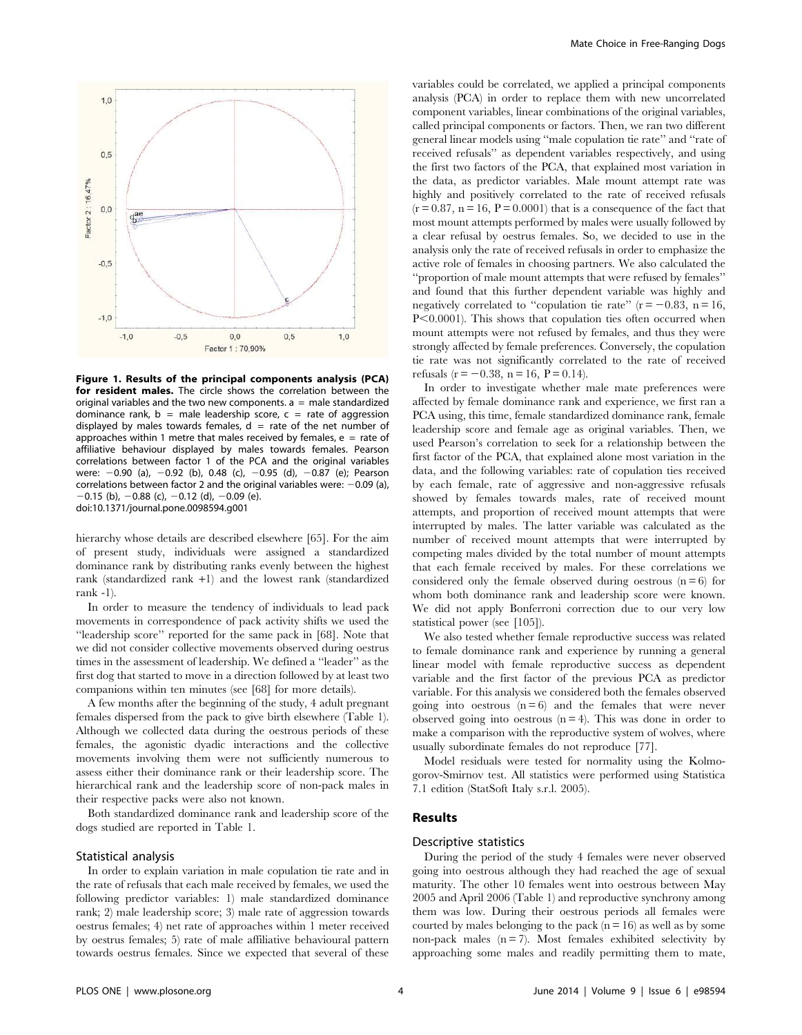

Figure 1. Results of the principal components analysis (PCA) for resident males. The circle shows the correlation between the original variables and the two new components.  $a =$  male standardized dominance rank,  $b =$  male leadership score,  $c =$  rate of aggression displayed by males towards females,  $d =$  rate of the net number of approaches within 1 metre that males received by females,  $e =$  rate of affiliative behaviour displayed by males towards females. Pearson correlations between factor 1 of the PCA and the original variables were:  $-0.90$  (a),  $-0.92$  (b), 0.48 (c),  $-0.95$  (d),  $-0.87$  (e); Pearson correlations between factor 2 and the original variables were:  $-0.09$  (a),  $-0.15$  (b),  $-0.88$  (c),  $-0.12$  (d),  $-0.09$  (e). doi:10.1371/journal.pone.0098594.g001

hierarchy whose details are described elsewhere [65]. For the aim of present study, individuals were assigned a standardized dominance rank by distributing ranks evenly between the highest rank (standardized rank +1) and the lowest rank (standardized rank -1).

In order to measure the tendency of individuals to lead pack movements in correspondence of pack activity shifts we used the ''leadership score'' reported for the same pack in [68]. Note that we did not consider collective movements observed during oestrus times in the assessment of leadership. We defined a ''leader'' as the first dog that started to move in a direction followed by at least two companions within ten minutes (see [68] for more details).

A few months after the beginning of the study, 4 adult pregnant females dispersed from the pack to give birth elsewhere (Table 1). Although we collected data during the oestrous periods of these females, the agonistic dyadic interactions and the collective movements involving them were not sufficiently numerous to assess either their dominance rank or their leadership score. The hierarchical rank and the leadership score of non-pack males in their respective packs were also not known.

Both standardized dominance rank and leadership score of the dogs studied are reported in Table 1.

#### Statistical analysis

In order to explain variation in male copulation tie rate and in the rate of refusals that each male received by females, we used the following predictor variables: 1) male standardized dominance rank; 2) male leadership score; 3) male rate of aggression towards oestrus females; 4) net rate of approaches within 1 meter received by oestrus females; 5) rate of male affiliative behavioural pattern towards oestrus females. Since we expected that several of these

variables could be correlated, we applied a principal components analysis (PCA) in order to replace them with new uncorrelated component variables, linear combinations of the original variables, called principal components or factors. Then, we ran two different general linear models using ''male copulation tie rate'' and ''rate of received refusals'' as dependent variables respectively, and using the first two factors of the PCA, that explained most variation in the data, as predictor variables. Male mount attempt rate was highly and positively correlated to the rate of received refusals  $(r = 0.87, n = 16, P = 0.0001)$  that is a consequence of the fact that most mount attempts performed by males were usually followed by a clear refusal by oestrus females. So, we decided to use in the analysis only the rate of received refusals in order to emphasize the active role of females in choosing partners. We also calculated the ''proportion of male mount attempts that were refused by females'' and found that this further dependent variable was highly and negatively correlated to "copulation tie rate" ( $r = -0.83$ , n = 16,  $P<0.0001$ ). This shows that copulation ties often occurred when mount attempts were not refused by females, and thus they were strongly affected by female preferences. Conversely, the copulation tie rate was not significantly correlated to the rate of received refusals ( $r = -0.38$ ,  $n = 16$ ,  $P = 0.14$ ).

In order to investigate whether male mate preferences were affected by female dominance rank and experience, we first ran a PCA using, this time, female standardized dominance rank, female leadership score and female age as original variables. Then, we used Pearson's correlation to seek for a relationship between the first factor of the PCA, that explained alone most variation in the data, and the following variables: rate of copulation ties received by each female, rate of aggressive and non-aggressive refusals showed by females towards males, rate of received mount attempts, and proportion of received mount attempts that were interrupted by males. The latter variable was calculated as the number of received mount attempts that were interrupted by competing males divided by the total number of mount attempts that each female received by males. For these correlations we considered only the female observed during oestrous  $(n = 6)$  for whom both dominance rank and leadership score were known. We did not apply Bonferroni correction due to our very low statistical power (see [105]).

We also tested whether female reproductive success was related to female dominance rank and experience by running a general linear model with female reproductive success as dependent variable and the first factor of the previous PCA as predictor variable. For this analysis we considered both the females observed going into oestrous  $(n=6)$  and the females that were never observed going into oestrous  $(n = 4)$ . This was done in order to make a comparison with the reproductive system of wolves, where usually subordinate females do not reproduce [77].

Model residuals were tested for normality using the Kolmogorov-Smirnov test. All statistics were performed using Statistica 7.1 edition (StatSoft Italy s.r.l. 2005).

# Results

# Descriptive statistics

During the period of the study 4 females were never observed going into oestrous although they had reached the age of sexual maturity. The other 10 females went into oestrous between May 2005 and April 2006 (Table 1) and reproductive synchrony among them was low. During their oestrous periods all females were courted by males belonging to the pack  $(n = 16)$  as well as by some non-pack males  $(n = 7)$ . Most females exhibited selectivity by approaching some males and readily permitting them to mate,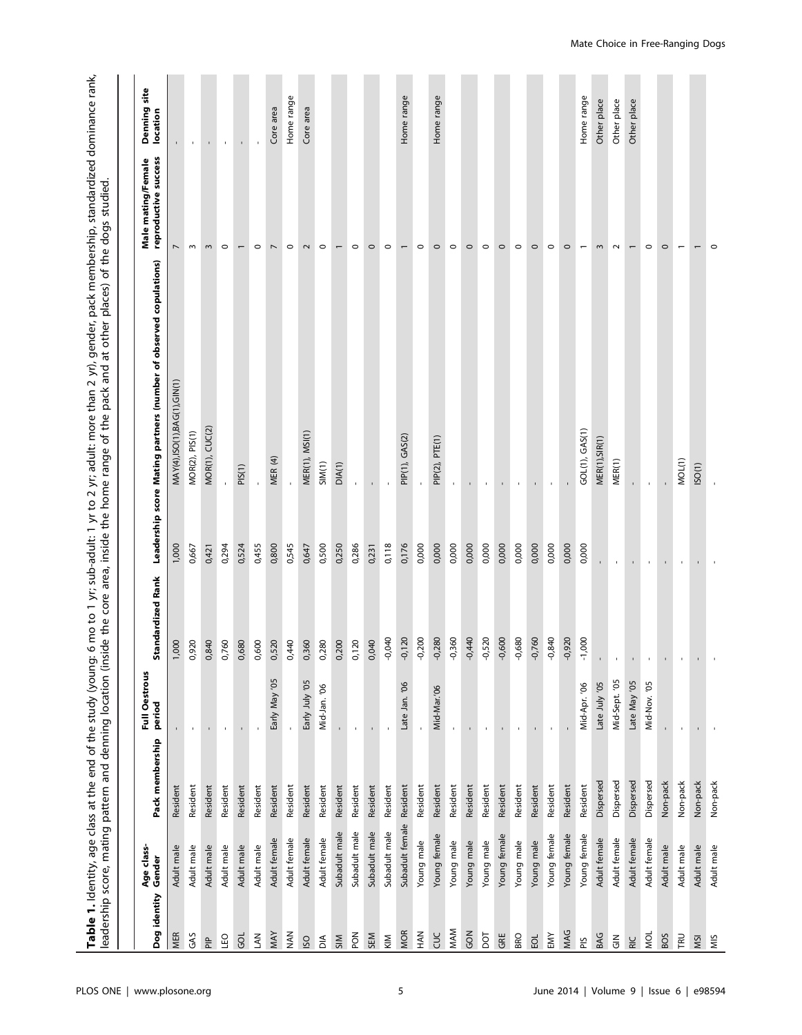| a: 6 mo to 1 yr; sub-adult: 1 yr to 2 yr; adult: more than 2 yr), gender, pack membership, standardized dominance rank<br>iside the core area, inside the home range of the pack and at other places) of the dogs studied.<br>ç<br>i |                                                    |                                              |
|--------------------------------------------------------------------------------------------------------------------------------------------------------------------------------------------------------------------------------------|----------------------------------------------------|----------------------------------------------|
|                                                                                                                                                                                                                                      | able 1. Identity, age class at the end of the stud | <b>(1)でところです てんこうしょうしょう りょうしょう りょくしょう こと</b> |

| Age class-<br>Dog identity Gender |                 | Pack membership | Full Oestrous<br>period | standardized Rank |              | Leadership score Mating partners (number of observed copulations) | reproductive success<br>Male mating/Female | Denning site<br>location |
|-----------------------------------|-----------------|-----------------|-------------------------|-------------------|--------------|-------------------------------------------------------------------|--------------------------------------------|--------------------------|
| <b>MER</b>                        | Adult male      | Resident        |                         | ,000              | 1,000        | MAY(4), ISO(1), BAG(1), GIN(1)                                    | $\overline{ }$                             |                          |
| GAS                               | Adult male      | Resident        | $\mathbf{I}$            | 026'C             | 0,667        | MOR(2), PIS(1)                                                    | $\,$ $\,$                                  | $\mathbf{r}$             |
| $\frac{\rho}{\rho}$               | Adult male      | Resident        | $\mathbf{r}$            | 0.840             | 0,421        | MOR(1), CUC(2)                                                    | $\sim$                                     | $\mathbf{I}$             |
| $\overline{5}$                    | Adult male      | Resident        | $\mathbf{I}$            | 09/2              | 0,294        |                                                                   | $\circ$                                    | $\mathbf{r}$             |
| GOL                               | Adult male      | Resident        | $\mathbf{I}$            | 080               | 0,524        | PIS(1)                                                            | $\overline{ }$                             | $\mathbf{I}$             |
| <b>LAN</b>                        | Adult male      | Resident        |                         | 000/              | 0,455        |                                                                   | $\circ$                                    |                          |
| MAY                               | Adult female    | Resident        | Early May '05           | 0,520             | 0,800        | MER (4)                                                           | $\overline{ }$                             | Core area                |
| NAN                               | Adult female    | Resident        |                         | 0 440             | 0,545        |                                                                   | $\circ$                                    | Home range               |
| ISO                               | Adult female    | Resident        | Early July '05          | 0,360             | 0,647        | MER(1), MSI(1)                                                    | 2                                          | Core area                |
| $\Box A$                          | Adult female    | Resident        | Mid-Jan. '06            | 0,280             | 0,500        | SIM(1)                                                            | $\circ$                                    |                          |
| SIM                               | Subadult male   | Resident        | $\mathbf{I}$            | 0,200             | 0,250        | DIA(1)                                                            | $\overline{\phantom{0}}$                   |                          |
| PON                               | Subadult male   | Resident        | $\mathbf{r}$            | 0,120             | 0,286        |                                                                   | $\circ$                                    |                          |
| SEM                               | Subadult male   | Resident        | $\mathbf{I}$            | 0,040             | 0,231        | $\mathbf{I}$                                                      | $\circ$                                    |                          |
| KIM                               | Subadult male   | Resident        |                         | 0,040             | 0,118        |                                                                   | $\circ$                                    |                          |
| <b>MOR</b>                        | Subadult female | Resident        | Late Jan. '06           | $-0,120$          | 0,176        | PIP(1), GAS(2)                                                    | $\overline{ }$                             | Home range               |
| <b>HAN</b>                        | Young male      | Resident        |                         | 0,200             | 0,000        |                                                                   | $\circ$                                    |                          |
| UC                                | Young female    | Resident        | Mid-Mar.'06             | 0,280             | 0,000        | PIP(2), PTE(1)                                                    | $\circ$                                    | Home range               |
| MAM                               | Young male      | Resident        |                         | $-0,360$          | 0,000        | $\blacksquare$                                                    | $\circ$                                    |                          |
| GON                               | Young male      | Resident        |                         | 0,440             | 0,000        | $\,$                                                              | $\circ$                                    |                          |
| БÖ                                | Young male      | Resident        |                         | $-0,520$          | 0,000        | $\mathbf{I}$                                                      | $\circ$                                    |                          |
| GRE                               | Young female    | Resident        |                         | $-0,600$          | 0,000        | $\mathbf{I}$                                                      | $\circ$                                    |                          |
| BRO                               | Young male      | Resident        | $\mathbf{r}$            | -0,680            | 0,000        | $\mathbf{r}$                                                      | $\circ$                                    |                          |
| EOL                               | Young male      | Resident        |                         | $-0,760$          | 0,000        | $\blacksquare$                                                    | $\circ$                                    |                          |
| EMY                               | Young female    | Resident        |                         | 0,840             | 0,000        | $\blacksquare$                                                    | $\circ$                                    |                          |
| MAG                               | Young female    | Resident        |                         | 0,920             | 0,000        |                                                                   | $\circ$                                    |                          |
| Ρíς                               | Young female    | Resident        | Mid-Apr. '06            | .000              | 0,000        | GOL(1), GAS(1)                                                    | $\overline{\phantom{0}}$                   | Home range               |
| BAG                               | Adult female    | Dispersed       | Late July '05           |                   | $\mathbf{I}$ | MER(1), SIR(1)                                                    | $\sim$                                     | Other place              |
| $\frac{\mathsf{K}}{\mathsf{G}}$   | Adult female    | Dispersed       | Mid-Sept. '05           |                   | $\mathbf{r}$ | MER(1)                                                            | $\sim$                                     | Other place              |
| RIC                               | Adult female    | Dispersed       | Late May '05            |                   | $\mathbf{r}$ | $\mathbf{r}$                                                      |                                            | Other place              |
| <b>NOL</b>                        | Adult female    | Dispersed       | Mid-Nov. '05            |                   | $\mathbf{I}$ | $\mathbf{I}$                                                      | $\circ$                                    |                          |
| BOS                               | Adult male      | Non-pack        |                         |                   | $\mathbf{I}$ |                                                                   | $\circ$                                    |                          |
| TRU                               | Adult male      | Non-pack        |                         |                   | $\mathbf{I}$ | MOL(1)                                                            | $\overline{\phantom{m}}$                   |                          |
| <b>ISI</b>                        | Adult male      | Non-pack        |                         |                   | $\mathbf{I}$ | ISO(1)                                                            | $\overline{\phantom{0}}$                   |                          |
| NIS                               | Adult male      | Non-pack        |                         |                   | $\mathbf{r}$ |                                                                   | $\circ$                                    |                          |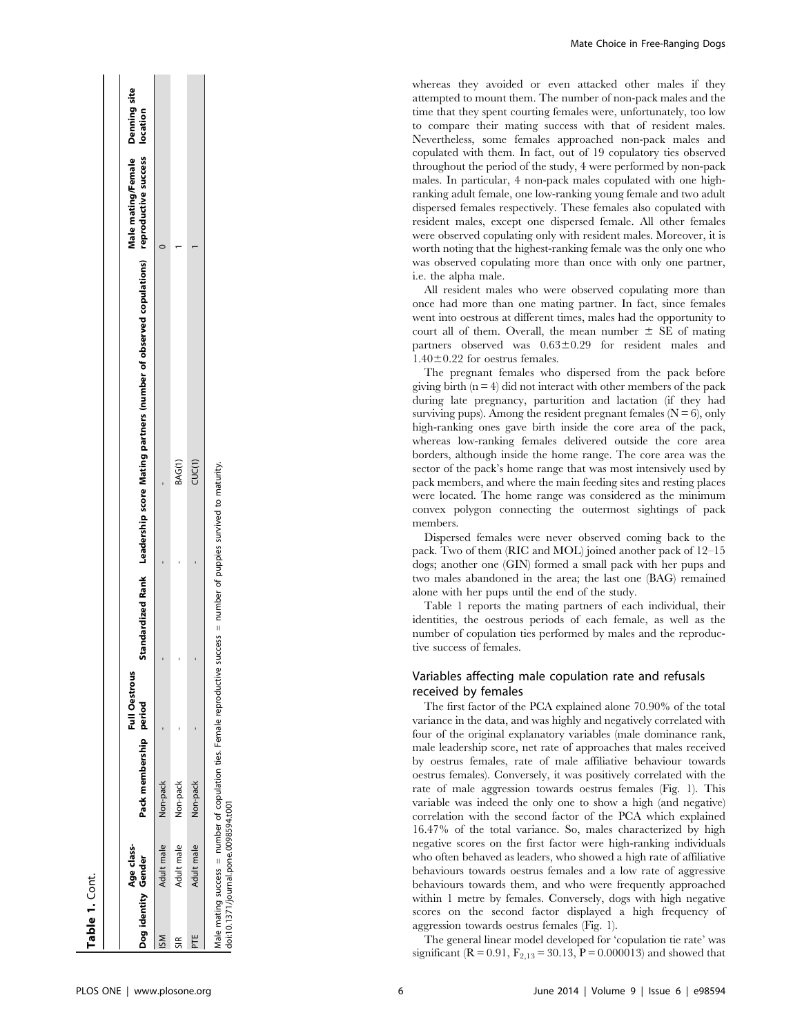| Dog identity Gender | Age class-                            | Pack membership period | <b>Full Oestrous</b> |                                                                                                                        | Standardized Rank Leadership score Mating partners (number of observed copulations) reproductive success location | Male mating/Female Denning site |  |
|---------------------|---------------------------------------|------------------------|----------------------|------------------------------------------------------------------------------------------------------------------------|-------------------------------------------------------------------------------------------------------------------|---------------------------------|--|
|                     | Adult male                            | Non-pack               |                      |                                                                                                                        |                                                                                                                   |                                 |  |
| S⊯                  | Adult male                            | Non-pack               |                      |                                                                                                                        | BAG(1)                                                                                                            |                                 |  |
| FE                  | Adult male                            | Non-pack               |                      |                                                                                                                        | CUC(1)                                                                                                            |                                 |  |
|                     | doi:10.1371/journal.pone.0098594.t001 |                        |                      | Male mating success = number of copulation ties. Female reproductive success = number of puppies survived to maturity. |                                                                                                                   |                                 |  |

whereas they avoided or even attacked other males if they attempted to mount them. The number of non-pack males and the time that they spent courting females were, unfortunately, too low to compare their mating success with that of resident males. Nevertheless, some females approached non-pack males and copulated with them. In fact, out of 19 copulatory ties observed throughout the period of the study, 4 were performed by non-pack males. In particular, 4 non-pack males copulated with one highranking adult female, one low-ranking young female and two adult dispersed females respectively. These females also copulated with resident males, except one dispersed female. All other females were observed copulating only with resident males. Moreover, it is worth noting that the highest-ranking female was the only one who was observed copulating more than once with only one partner, i.e. the alpha male.

All resident males who were observed copulating more than once had more than one mating partner. In fact, since females went into oestrous at different times, males had the opportunity to court all of them. Overall, the mean number  $\pm$  SE of mating partners observed was  $0.63 \pm 0.29$  for resident males and  $1.40 \pm 0.22$  for oestrus females.

The pregnant females who dispersed from the pack before giving birth  $(n = 4)$  did not interact with other members of the pack during late pregnancy, parturition and lactation (if they had surviving pups). Among the resident pregnant females  $(N = 6)$ , only high-ranking ones gave birth inside the core area of the pack, whereas low-ranking females delivered outside the core area borders, although inside the home range. The core area was the sector of the pack's home range that was most intensively used by pack members, and where the main feeding sites and resting places were located. The home range was considered as the minimum convex polygon connecting the outermost sightings of pack members.

Dispersed females were never observed coming back to the pack. Two of them (RIC and MOL) joined another pack of 12–15 dogs; another one (GIN) formed a small pack with her pups and two males abandoned in the area; the last one (BAG) remained alone with her pups until the end of the study.

Table 1 reports the mating partners of each individual, their identities, the oestrous periods of each female, as well as the number of copulation ties performed by males and the reproductive success of females.

# Variables affecting male copulation rate and refusals received by females

The first factor of the PCA explained alone 70.90% of the total variance in the data, and was highly and negatively correlated with four of the original explanatory variables (male dominance rank, male leadership score, net rate of approaches that males received by oestrus females, rate of male affiliative behaviour towards oestrus females). Conversely, it was positively correlated with the rate of male aggression towards oestrus females (Fig. 1). This variable was indeed the only one to show a high (and negative) correlation with the second factor of the PCA which explained 16.47% of the total variance. So, males characterized by high negative scores on the first factor were high-ranking individuals who often behaved as leaders, who showed a high rate of affiliative behaviours towards oestrus females and a low rate of aggressive behaviours towards them, and who were frequently approached within 1 metre by females. Conversely, dogs with high negative scores on the second factor displayed a high frequency of aggression towards oestrus females (Fig. 1).

The general linear model developed for 'copulation tie rate' was significant ( $R = 0.91$ ,  $F_{2,13} = 30.13$ ,  $P = 0.000013$ ) and showed that

Table 1. Cont.

Table 1. Cont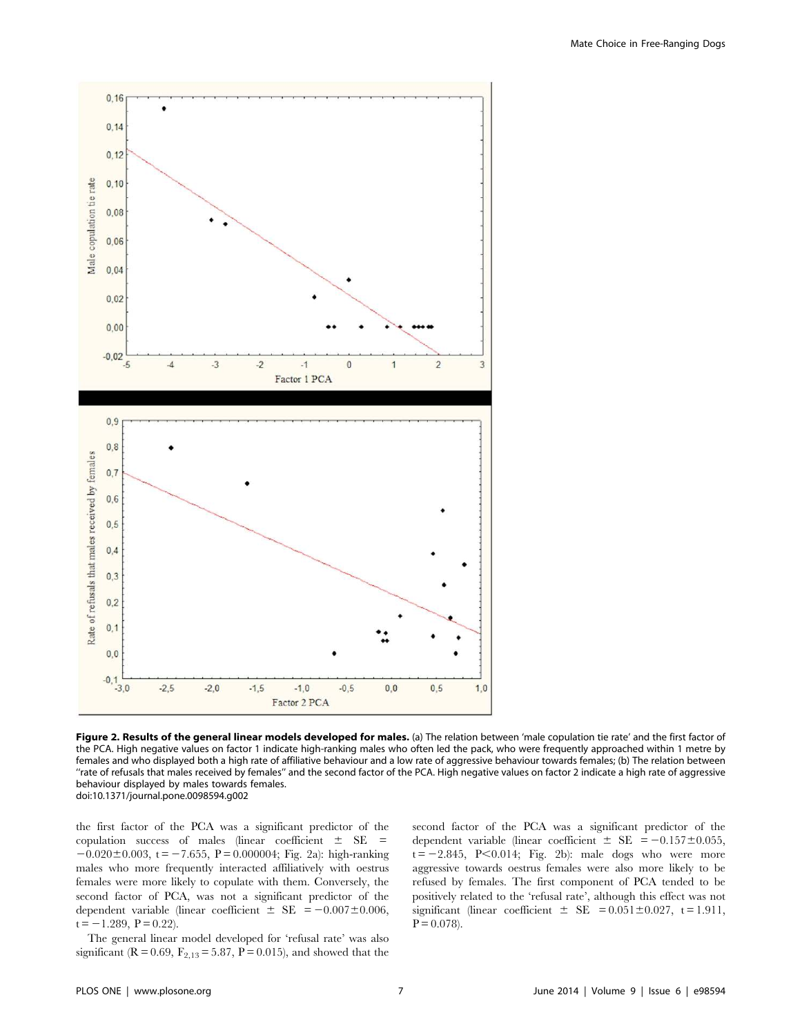

Figure 2. Results of the general linear models developed for males. (a) The relation between 'male copulation tie rate' and the first factor of the PCA. High negative values on factor 1 indicate high-ranking males who often led the pack, who were frequently approached within 1 metre by females and who displayed both a high rate of affiliative behaviour and a low rate of aggressive behaviour towards females; (b) The relation between ''rate of refusals that males received by females'' and the second factor of the PCA. High negative values on factor 2 indicate a high rate of aggressive behaviour displayed by males towards females. doi:10.1371/journal.pone.0098594.g002

the first factor of the PCA was a significant predictor of the copulation success of males (linear coefficient  $\pm$  SE =  $-0.020\pm0.003$ , t = -7.655, P = 0.000004; Fig. 2a): high-ranking males who more frequently interacted affiliatively with oestrus females were more likely to copulate with them. Conversely, the second factor of PCA, was not a significant predictor of the dependent variable (linear coefficient  $\pm$  SE = -0.007 $\pm$ 0.006,  $t = -1.289$ ,  $P = 0.22$ ).

The general linear model developed for 'refusal rate' was also significant ( $R = 0.69$ ,  $F_{2,13} = 5.87$ ,  $P = 0.015$ ), and showed that the second factor of the PCA was a significant predictor of the dependent variable (linear coefficient  $\pm$  SE = -0.157 $\pm$ 0.055,  $t = -2.845$ , P<0.014; Fig. 2b): male dogs who were more aggressive towards oestrus females were also more likely to be refused by females. The first component of PCA tended to be positively related to the 'refusal rate', although this effect was not significant (linear coefficient  $\pm$  SE = 0.051 $\pm$ 0.027, t = 1.911,  $P = 0.078$ .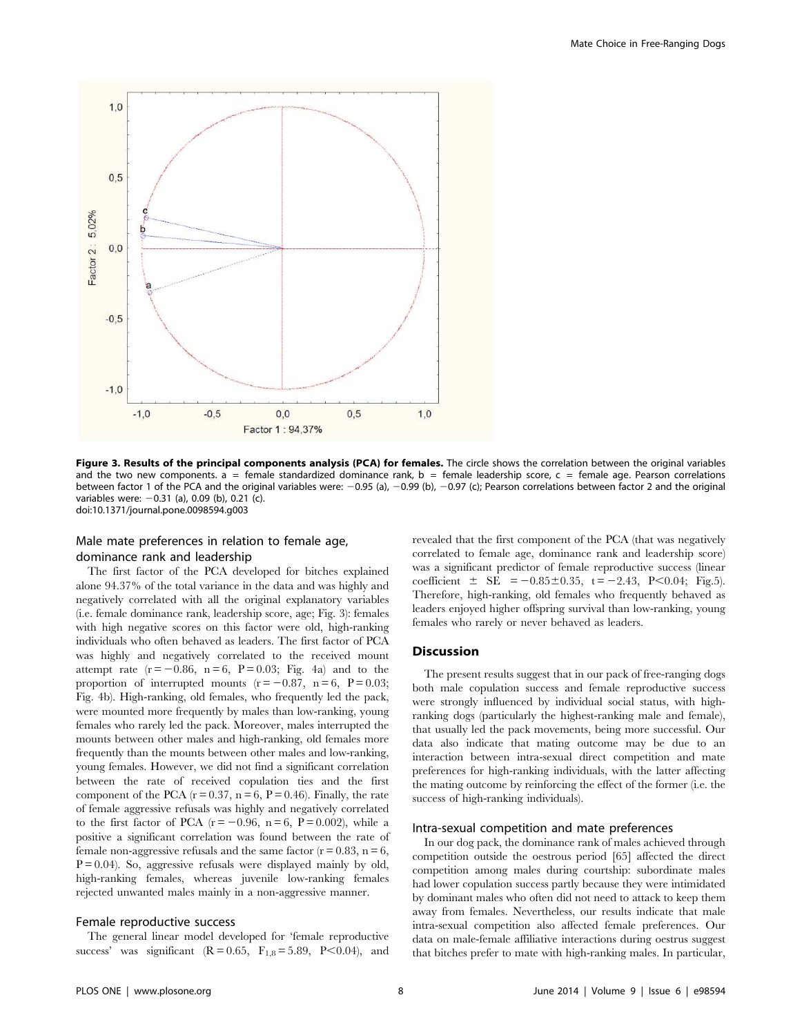

Figure 3. Results of the principal components analysis (PCA) for females. The circle shows the correlation between the original variables and the two new components.  $a =$  female standardized dominance rank,  $b =$  female leadership score,  $c =$  female age. Pearson correlations between factor 1 of the PCA and the original variables were: -0.95 (a), -0.99 (b), -0.97 (c); Pearson correlations between factor 2 and the original variables were:  $-0.31$  (a), 0.09 (b), 0.21 (c). doi:10.1371/journal.pone.0098594.g003

# Male mate preferences in relation to female age, dominance rank and leadership

The first factor of the PCA developed for bitches explained alone 94.37% of the total variance in the data and was highly and negatively correlated with all the original explanatory variables (i.e. female dominance rank, leadership score, age; Fig. 3): females with high negative scores on this factor were old, high-ranking individuals who often behaved as leaders. The first factor of PCA was highly and negatively correlated to the received mount attempt rate  $(r = -0.86, n = 6, P = 0.03; Fig. 4a)$  and to the proportion of interrupted mounts ( $r = -0.87$ ,  $n = 6$ ,  $P = 0.03$ ; Fig. 4b). High-ranking, old females, who frequently led the pack, were mounted more frequently by males than low-ranking, young females who rarely led the pack. Moreover, males interrupted the mounts between other males and high-ranking, old females more frequently than the mounts between other males and low-ranking, young females. However, we did not find a significant correlation between the rate of received copulation ties and the first component of the PCA  $(r = 0.37, n = 6, P = 0.46)$ . Finally, the rate of female aggressive refusals was highly and negatively correlated to the first factor of PCA  $(r = -0.96, n = 6, P = 0.002)$ , while a positive a significant correlation was found between the rate of female non-aggressive refusals and the same factor  $(r = 0.83, n = 6,$  $P = 0.04$ ). So, aggressive refusals were displayed mainly by old, high-ranking females, whereas juvenile low-ranking females rejected unwanted males mainly in a non-aggressive manner.

#### Female reproductive success

The general linear model developed for 'female reproductive success' was significant  $(R = 0.65, F_{1,8} = 5.89, P < 0.04)$ , and revealed that the first component of the PCA (that was negatively correlated to female age, dominance rank and leadership score) was a significant predictor of female reproductive success (linear coefficient  $\pm$  SE = -0.85 $\pm$ 0.35, t = -2.43, P<0.04; Fig.5). Therefore, high-ranking, old females who frequently behaved as leaders enjoyed higher offspring survival than low-ranking, young females who rarely or never behaved as leaders.

# **Discussion**

The present results suggest that in our pack of free-ranging dogs both male copulation success and female reproductive success were strongly influenced by individual social status, with highranking dogs (particularly the highest-ranking male and female), that usually led the pack movements, being more successful. Our data also indicate that mating outcome may be due to an interaction between intra-sexual direct competition and mate preferences for high-ranking individuals, with the latter affecting the mating outcome by reinforcing the effect of the former (i.e. the success of high-ranking individuals).

#### Intra-sexual competition and mate preferences

In our dog pack, the dominance rank of males achieved through competition outside the oestrous period [65] affected the direct competition among males during courtship: subordinate males had lower copulation success partly because they were intimidated by dominant males who often did not need to attack to keep them away from females. Nevertheless, our results indicate that male intra-sexual competition also affected female preferences. Our data on male-female affiliative interactions during oestrus suggest that bitches prefer to mate with high-ranking males. In particular,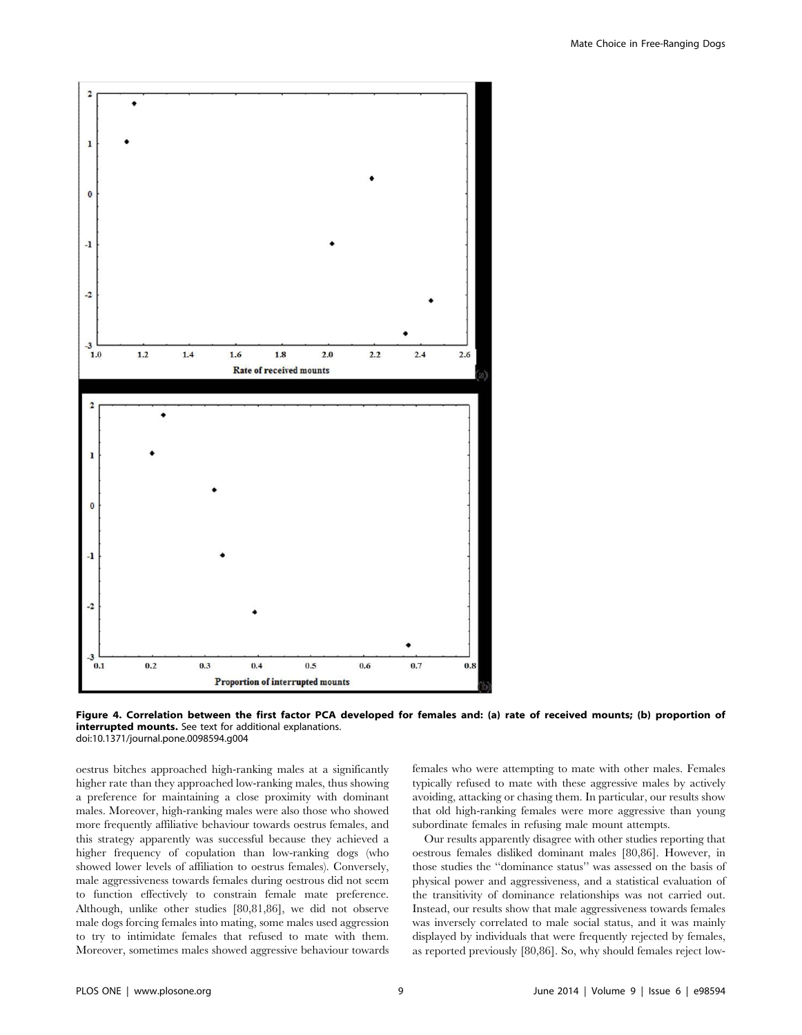

Figure 4. Correlation between the first factor PCA developed for females and: (a) rate of received mounts; (b) proportion of interrupted mounts. See text for additional explanations. doi:10.1371/journal.pone.0098594.g004

oestrus bitches approached high-ranking males at a significantly higher rate than they approached low-ranking males, thus showing a preference for maintaining a close proximity with dominant males. Moreover, high-ranking males were also those who showed more frequently affiliative behaviour towards oestrus females, and this strategy apparently was successful because they achieved a higher frequency of copulation than low-ranking dogs (who showed lower levels of affiliation to oestrus females). Conversely, male aggressiveness towards females during oestrous did not seem to function effectively to constrain female mate preference. Although, unlike other studies [80,81,86], we did not observe male dogs forcing females into mating, some males used aggression to try to intimidate females that refused to mate with them. Moreover, sometimes males showed aggressive behaviour towards females who were attempting to mate with other males. Females typically refused to mate with these aggressive males by actively avoiding, attacking or chasing them. In particular, our results show that old high-ranking females were more aggressive than young subordinate females in refusing male mount attempts.

Our results apparently disagree with other studies reporting that oestrous females disliked dominant males [80,86]. However, in those studies the ''dominance status'' was assessed on the basis of physical power and aggressiveness, and a statistical evaluation of the transitivity of dominance relationships was not carried out. Instead, our results show that male aggressiveness towards females was inversely correlated to male social status, and it was mainly displayed by individuals that were frequently rejected by females, as reported previously [80,86]. So, why should females reject low-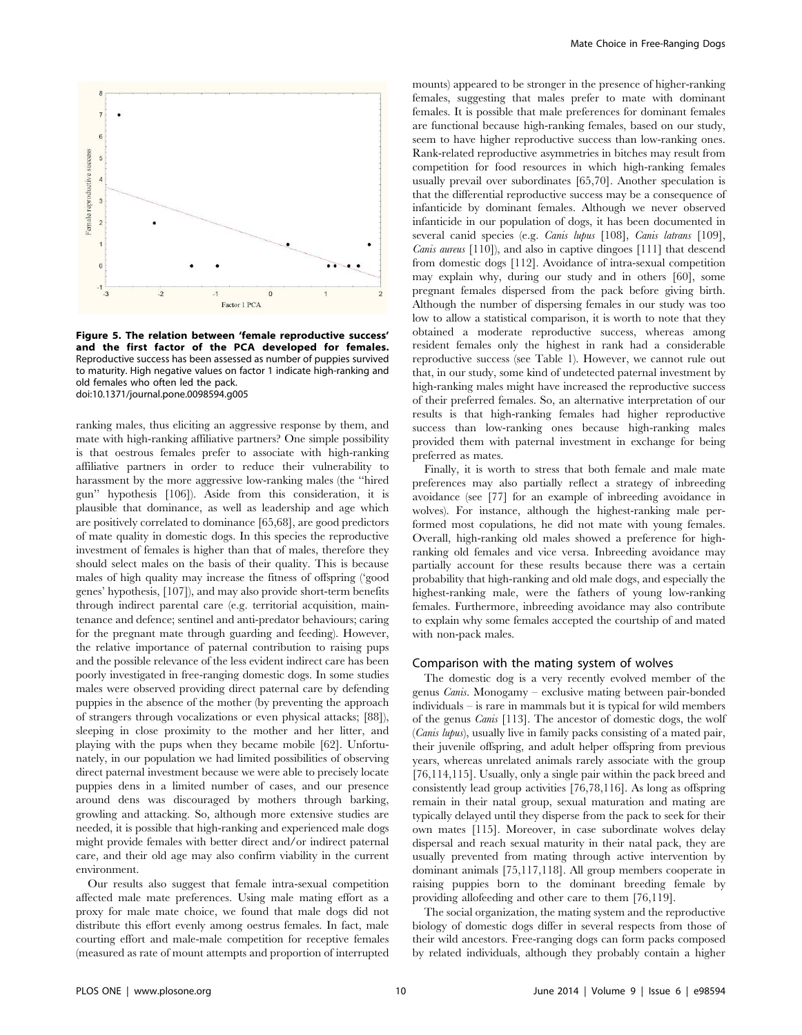

Figure 5. The relation between 'female reproductive success' and the first factor of the PCA developed for females. Reproductive success has been assessed as number of puppies survived to maturity. High negative values on factor 1 indicate high-ranking and old females who often led the pack. doi:10.1371/journal.pone.0098594.g005

ranking males, thus eliciting an aggressive response by them, and mate with high-ranking affiliative partners? One simple possibility is that oestrous females prefer to associate with high-ranking affiliative partners in order to reduce their vulnerability to harassment by the more aggressive low-ranking males (the ''hired gun'' hypothesis [106]). Aside from this consideration, it is plausible that dominance, as well as leadership and age which are positively correlated to dominance [65,68], are good predictors of mate quality in domestic dogs. In this species the reproductive investment of females is higher than that of males, therefore they should select males on the basis of their quality. This is because males of high quality may increase the fitness of offspring ('good genes' hypothesis, [107]), and may also provide short-term benefits through indirect parental care (e.g. territorial acquisition, maintenance and defence; sentinel and anti-predator behaviours; caring for the pregnant mate through guarding and feeding). However, the relative importance of paternal contribution to raising pups and the possible relevance of the less evident indirect care has been poorly investigated in free-ranging domestic dogs. In some studies males were observed providing direct paternal care by defending puppies in the absence of the mother (by preventing the approach of strangers through vocalizations or even physical attacks; [88]), sleeping in close proximity to the mother and her litter, and playing with the pups when they became mobile [62]. Unfortunately, in our population we had limited possibilities of observing direct paternal investment because we were able to precisely locate puppies dens in a limited number of cases, and our presence around dens was discouraged by mothers through barking, growling and attacking. So, although more extensive studies are needed, it is possible that high-ranking and experienced male dogs might provide females with better direct and/or indirect paternal care, and their old age may also confirm viability in the current environment.

Our results also suggest that female intra-sexual competition affected male mate preferences. Using male mating effort as a proxy for male mate choice, we found that male dogs did not distribute this effort evenly among oestrus females. In fact, male courting effort and male-male competition for receptive females (measured as rate of mount attempts and proportion of interrupted mounts) appeared to be stronger in the presence of higher-ranking females, suggesting that males prefer to mate with dominant females. It is possible that male preferences for dominant females are functional because high-ranking females, based on our study, seem to have higher reproductive success than low-ranking ones. Rank-related reproductive asymmetries in bitches may result from competition for food resources in which high-ranking females usually prevail over subordinates [65,70]. Another speculation is that the differential reproductive success may be a consequence of infanticide by dominant females. Although we never observed infanticide in our population of dogs, it has been documented in several canid species (e.g. Canis lupus [108], Canis latrans [109], Canis aureus [110]), and also in captive dingoes [111] that descend from domestic dogs [112]. Avoidance of intra-sexual competition may explain why, during our study and in others [60], some pregnant females dispersed from the pack before giving birth. Although the number of dispersing females in our study was too low to allow a statistical comparison, it is worth to note that they obtained a moderate reproductive success, whereas among resident females only the highest in rank had a considerable reproductive success (see Table 1). However, we cannot rule out that, in our study, some kind of undetected paternal investment by high-ranking males might have increased the reproductive success of their preferred females. So, an alternative interpretation of our results is that high-ranking females had higher reproductive success than low-ranking ones because high-ranking males provided them with paternal investment in exchange for being preferred as mates.

Finally, it is worth to stress that both female and male mate preferences may also partially reflect a strategy of inbreeding avoidance (see [77] for an example of inbreeding avoidance in wolves). For instance, although the highest-ranking male performed most copulations, he did not mate with young females. Overall, high-ranking old males showed a preference for highranking old females and vice versa. Inbreeding avoidance may partially account for these results because there was a certain probability that high-ranking and old male dogs, and especially the highest-ranking male, were the fathers of young low-ranking females. Furthermore, inbreeding avoidance may also contribute to explain why some females accepted the courtship of and mated with non-pack males.

#### Comparison with the mating system of wolves

The domestic dog is a very recently evolved member of the genus Canis. Monogamy – exclusive mating between pair-bonded individuals – is rare in mammals but it is typical for wild members of the genus Canis [113]. The ancestor of domestic dogs, the wolf (Canis lupus), usually live in family packs consisting of a mated pair, their juvenile offspring, and adult helper offspring from previous years, whereas unrelated animals rarely associate with the group [76,114,115]. Usually, only a single pair within the pack breed and consistently lead group activities [76,78,116]. As long as offspring remain in their natal group, sexual maturation and mating are typically delayed until they disperse from the pack to seek for their own mates [115]. Moreover, in case subordinate wolves delay dispersal and reach sexual maturity in their natal pack, they are usually prevented from mating through active intervention by dominant animals [75,117,118]. All group members cooperate in raising puppies born to the dominant breeding female by providing allofeeding and other care to them [76,119].

The social organization, the mating system and the reproductive biology of domestic dogs differ in several respects from those of their wild ancestors. Free-ranging dogs can form packs composed by related individuals, although they probably contain a higher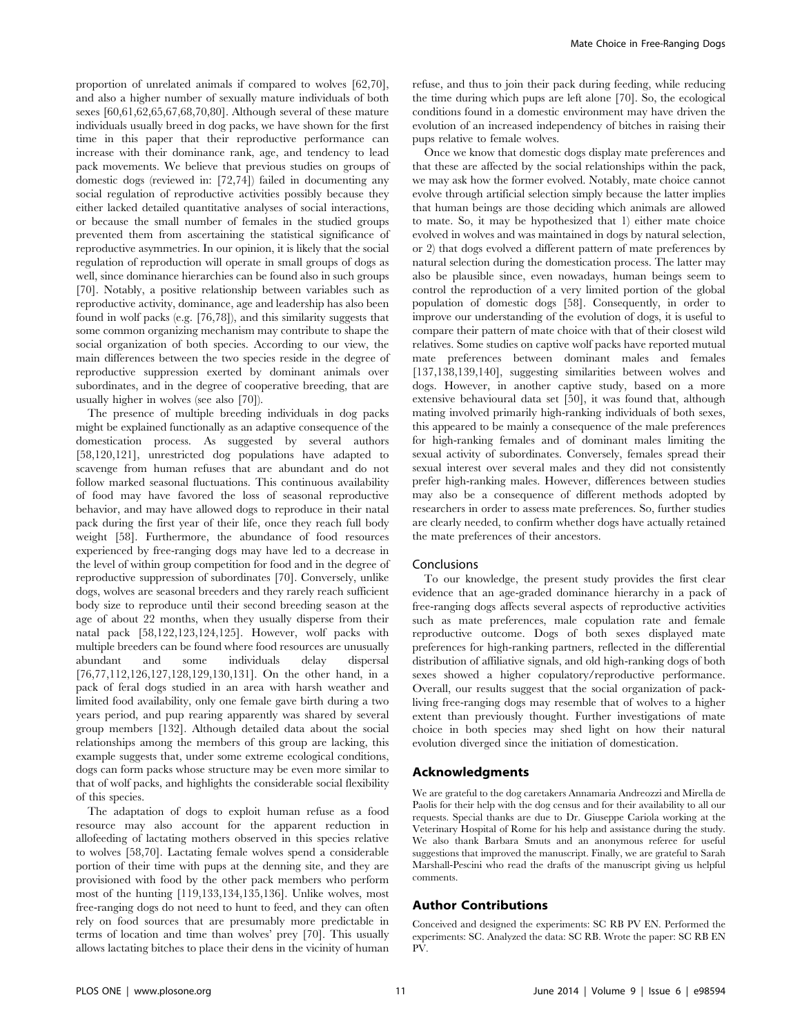proportion of unrelated animals if compared to wolves [62,70], and also a higher number of sexually mature individuals of both sexes [60,61,62,65,67,68,70,80]. Although several of these mature individuals usually breed in dog packs, we have shown for the first time in this paper that their reproductive performance can increase with their dominance rank, age, and tendency to lead pack movements. We believe that previous studies on groups of domestic dogs (reviewed in: [72,74]) failed in documenting any social regulation of reproductive activities possibly because they either lacked detailed quantitative analyses of social interactions, or because the small number of females in the studied groups prevented them from ascertaining the statistical significance of reproductive asymmetries. In our opinion, it is likely that the social regulation of reproduction will operate in small groups of dogs as well, since dominance hierarchies can be found also in such groups [70]. Notably, a positive relationship between variables such as reproductive activity, dominance, age and leadership has also been found in wolf packs (e.g. [76,78]), and this similarity suggests that some common organizing mechanism may contribute to shape the social organization of both species. According to our view, the main differences between the two species reside in the degree of reproductive suppression exerted by dominant animals over subordinates, and in the degree of cooperative breeding, that are usually higher in wolves (see also [70]).

The presence of multiple breeding individuals in dog packs might be explained functionally as an adaptive consequence of the domestication process. As suggested by several authors [58,120,121], unrestricted dog populations have adapted to scavenge from human refuses that are abundant and do not follow marked seasonal fluctuations. This continuous availability of food may have favored the loss of seasonal reproductive behavior, and may have allowed dogs to reproduce in their natal pack during the first year of their life, once they reach full body weight [58]. Furthermore, the abundance of food resources experienced by free-ranging dogs may have led to a decrease in the level of within group competition for food and in the degree of reproductive suppression of subordinates [70]. Conversely, unlike dogs, wolves are seasonal breeders and they rarely reach sufficient body size to reproduce until their second breeding season at the age of about 22 months, when they usually disperse from their natal pack [58,122,123,124,125]. However, wolf packs with multiple breeders can be found where food resources are unusually abundant and some individuals delay dispersal [76,77,112,126,127,128,129,130,131]. On the other hand, in a pack of feral dogs studied in an area with harsh weather and limited food availability, only one female gave birth during a two years period, and pup rearing apparently was shared by several group members [132]. Although detailed data about the social relationships among the members of this group are lacking, this example suggests that, under some extreme ecological conditions, dogs can form packs whose structure may be even more similar to that of wolf packs, and highlights the considerable social flexibility of this species.

The adaptation of dogs to exploit human refuse as a food resource may also account for the apparent reduction in allofeeding of lactating mothers observed in this species relative to wolves [58,70]. Lactating female wolves spend a considerable portion of their time with pups at the denning site, and they are provisioned with food by the other pack members who perform most of the hunting [119,133,134,135,136]. Unlike wolves, most free-ranging dogs do not need to hunt to feed, and they can often rely on food sources that are presumably more predictable in terms of location and time than wolves' prey [70]. This usually allows lactating bitches to place their dens in the vicinity of human refuse, and thus to join their pack during feeding, while reducing the time during which pups are left alone [70]. So, the ecological conditions found in a domestic environment may have driven the evolution of an increased independency of bitches in raising their pups relative to female wolves.

Once we know that domestic dogs display mate preferences and that these are affected by the social relationships within the pack, we may ask how the former evolved. Notably, mate choice cannot evolve through artificial selection simply because the latter implies that human beings are those deciding which animals are allowed to mate. So, it may be hypothesized that 1) either mate choice evolved in wolves and was maintained in dogs by natural selection, or 2) that dogs evolved a different pattern of mate preferences by natural selection during the domestication process. The latter may also be plausible since, even nowadays, human beings seem to control the reproduction of a very limited portion of the global population of domestic dogs [58]. Consequently, in order to improve our understanding of the evolution of dogs, it is useful to compare their pattern of mate choice with that of their closest wild relatives. Some studies on captive wolf packs have reported mutual mate preferences between dominant males and females [137,138,139,140], suggesting similarities between wolves and dogs. However, in another captive study, based on a more extensive behavioural data set [50], it was found that, although mating involved primarily high-ranking individuals of both sexes, this appeared to be mainly a consequence of the male preferences for high-ranking females and of dominant males limiting the sexual activity of subordinates. Conversely, females spread their sexual interest over several males and they did not consistently prefer high-ranking males. However, differences between studies may also be a consequence of different methods adopted by researchers in order to assess mate preferences. So, further studies are clearly needed, to confirm whether dogs have actually retained the mate preferences of their ancestors.

#### Conclusions

To our knowledge, the present study provides the first clear evidence that an age-graded dominance hierarchy in a pack of free-ranging dogs affects several aspects of reproductive activities such as mate preferences, male copulation rate and female reproductive outcome. Dogs of both sexes displayed mate preferences for high-ranking partners, reflected in the differential distribution of affiliative signals, and old high-ranking dogs of both sexes showed a higher copulatory/reproductive performance. Overall, our results suggest that the social organization of packliving free-ranging dogs may resemble that of wolves to a higher extent than previously thought. Further investigations of mate choice in both species may shed light on how their natural evolution diverged since the initiation of domestication.

#### Acknowledgments

We are grateful to the dog caretakers Annamaria Andreozzi and Mirella de Paolis for their help with the dog census and for their availability to all our requests. Special thanks are due to Dr. Giuseppe Cariola working at the Veterinary Hospital of Rome for his help and assistance during the study. We also thank Barbara Smuts and an anonymous referee for useful suggestions that improved the manuscript. Finally, we are grateful to Sarah Marshall-Pescini who read the drafts of the manuscript giving us helpful comments.

# Author Contributions

Conceived and designed the experiments: SC RB PV EN. Performed the experiments: SC. Analyzed the data: SC RB. Wrote the paper: SC RB EN PV.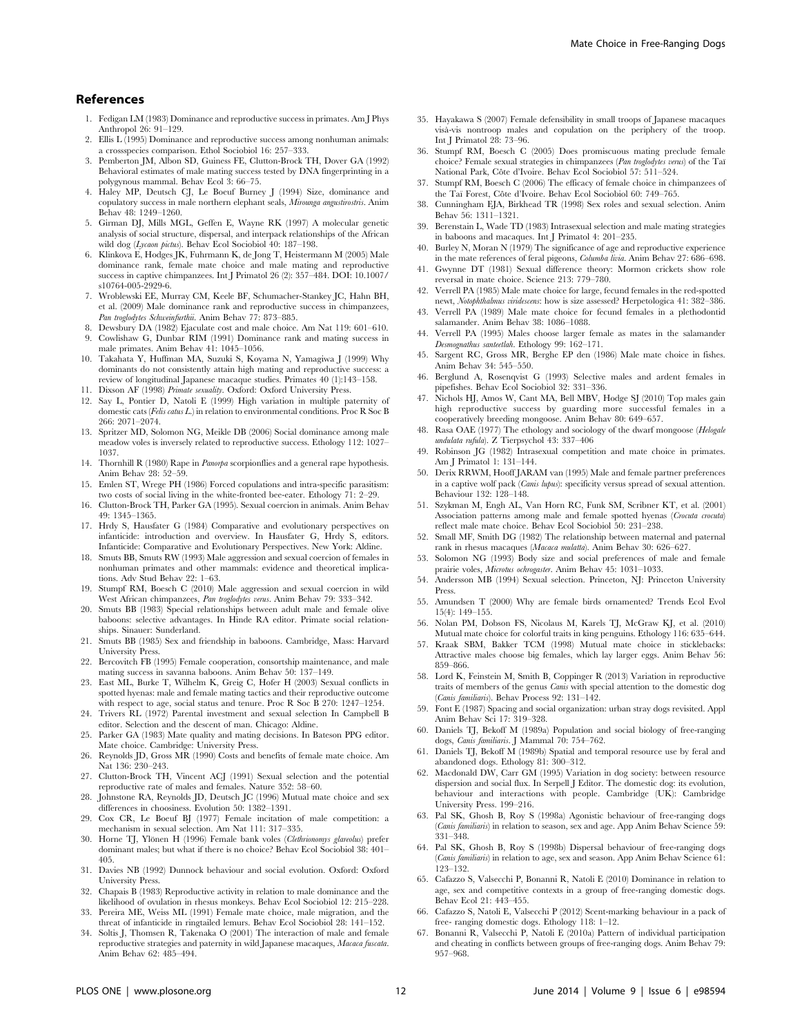#### References

- 1. Fedigan LM (1983) Dominance and reproductive success in primates. Am J Phys Anthropol 26: 91–129.
- 2. Ellis L (1995) Dominance and reproductive success among nonhuman animals: a crossspecies comparison. Ethol Sociobiol 16: 257–333.
- 3. Pemberton JM, Albon SD, Guiness FE, Clutton-Brock TH, Dover GA (1992) Behavioral estimates of male mating success tested by DNA fingerprinting in a polygynous mammal. Behav Ecol 3: 66–75.
- 4. Haley MP, Deutsch CJ, Le Boeuf Burney J (1994) Size, dominance and copulatory success in male northern elephant seals, Mirounga angustirostris. Anim Behav 48: 1249–1260.
- 5. Girman DJ, Mills MGL, Geffen E, Wayne RK (1997) A molecular genetic analysis of social structure, dispersal, and interpack relationships of the African wild dog (Lycaon pictus). Behav Ecol Sociobiol 40: 187–198.
- 6. Klinkova E, Hodges JK, Fuhrmann K, de Jong T, Heistermann M (2005) Male dominance rank, female mate choice and male mating and reproductive success in captive chimpanzees. Int J Primatol 26 (2): 357–484. DOI: 10.1007/ s10764-005-2929-6.
- 7. Wroblewski EE, Murray CM, Keele BF, Schumacher-Stankey JC, Hahn BH, et al. (2009) Male dominance rank and reproductive success in chimpanzees, Pan troglodytes Schweinfurthii. Anim Behav 77: 873–885.
- 8. Dewsbury DA (1982) Ejaculate cost and male choice. Am Nat 119: 601–610.
- 9. Cowlishaw G, Dunbar RIM (1991) Dominance rank and mating success in male primates. Anim Behav 41: 1045–1056.
- 10. Takahata Y, Huffman MA, Suzuki S, Koyama N, Yamagiwa J (1999) Why dominants do not consistently attain high mating and reproductive success: a review of longitudinal Japanese macaque studies. Primates 40 (1):143–158.
- 11. Dixson AF (1998) Primate sexuality. Oxford: Oxford University Press.
- 12. Say L, Pontier D, Natoli E (1999) High variation in multiple paternity of domestic cats (Felis catus L.) in relation to environmental conditions. Proc R Soc B 266: 2071–2074.
- 13. Spritzer MD, Solomon NG, Meikle DB (2006) Social dominance among male meadow voles is inversely related to reproductive success. Ethology 112: 1027– 1037.
- 14. Thornhill R (1980) Rape in Panorpa scorpionflies and a general rape hypothesis. Anim Behav 28: 52–59.
- 15. Emlen ST, Wrege PH (1986) Forced copulations and intra-specific parasitism: two costs of social living in the white-fronted bee-eater. Ethology 71: 2–29.
- 16. Clutton-Brock TH, Parker GA (1995). Sexual coercion in animals. Anim Behav 49: 1345–1365.
- 17. Hrdy S, Hausfater G (1984) Comparative and evolutionary perspectives on infanticide: introduction and overview. In Hausfater G, Hrdy S, editors. Infanticide: Comparative and Evolutionary Perspectives. New York: Aldine.
- 18. Smuts BB, Smuts RW (1993) Male aggression and sexual coercion of females in nonhuman primates and other mammals: evidence and theoretical implications. Adv Stud Behav 22: 1–63.
- 19. Stumpf RM, Boesch C (2010) Male aggression and sexual coercion in wild West African chimpanzees, Pan troglodytes verus. Anim Behav 79: 333–342.
- 20. Smuts BB (1983) Special relationships between adult male and female olive baboons: selective advantages. In Hinde RA editor. Primate social relationships. Sinauer: Sunderland.
- 21. Smuts BB (1985) Sex and friendship in baboons. Cambridge, Mass: Harvard University Press.
- 22. Bercovitch FB (1995) Female cooperation, consortship maintenance, and male mating success in savanna baboons. Anim Behav 50: 137–149.
- 23. East ML, Burke T, Wilhelm K, Greig C, Hofer H (2003) Sexual conflicts in spotted hyenas: male and female mating tactics and their reproductive outcome with respect to age, social status and tenure. Proc R Soc B 270: 1247–1254.
- 24. Trivers RL (1972) Parental investment and sexual selection In Campbell B editor. Selection and the descent of man. Chicago: Aldine.
- 25. Parker GA (1983) Mate quality and mating decisions. In Bateson PPG editor. Mate choice. Cambridge: University Press.
- 26. Reynolds JD, Gross MR (1990) Costs and benefits of female mate choice. Am Nat 136: 230–243.
- 27. Clutton-Brock TH, Vincent ACJ (1991) Sexual selection and the potential reproductive rate of males and females. Nature 352: 58–60.
- 28. Johnstone RA, Reynolds JD, Deutsch JC (1996) Mutual mate choice and sex differences in choosiness. Evolution 50: 1382–1391.
- 29. Cox CR, Le Boeuf BJ (1977) Female incitation of male competition: a mechanism in sexual selection. Am Nat 111: 317–335.
- 30. Horne TJ, Ylönen H (1996) Female bank voles (Clethrionomys glareolus) prefer dominant males; but what if there is no choice? Behav Ecol Sociobiol 38: 401– 405.
- 31. Davies NB (1992) Dunnock behaviour and social evolution. Oxford: Oxford University Press.
- 32. Chapais B (1983) Reproductive activity in relation to male dominance and the likelihood of ovulation in rhesus monkeys. Behav Ecol Sociobiol 12: 215–228.
- 33. Pereira ME, Weiss ML (1991) Female mate choice, male migration, and the threat of infanticide in ringtailed lemurs. Behav Ecol Sociobiol 28: 141–152.
- 34. Soltis J, Thomsen R, Takenaka O (2001) The interaction of male and female reproductive strategies and paternity in wild Japanese macaques, *Macaca fuscata.*<br>Anim Behav 62: 485–494.
- 35. Hayakawa S (2007) Female defensibility in small troops of Japanese macaques visa`-vis nontroop males and copulation on the periphery of the troop. Int J Primatol 28: 73–96.
- 36. Stumpf RM, Boesch C (2005) Does promiscuous mating preclude female choice? Female sexual strategies in chimpanzees (Pan troglodytes verus) of the Taï National Park, Côte d'Ivoire. Behav Ecol Sociobiol 57: 511-524.
- 37. Stumpf RM, Boesch C (2006) The efficacy of female choice in chimpanzees of the Taï Forest, Côte d'Ivoire. Behav Ecol Sociobiol 60: 749-765.
- 38. Cunningham EJA, Birkhead TR (1998) Sex roles and sexual selection. Anim Behav 56: 1311–1321.
- Berenstain L, Wade TD (1983) Intrasexual selection and male mating strategies in baboons and macaques. Int J Primatol 4: 201–235.
- 40. Burley N, Moran N (1979) The significance of age and reproductive experience in the mate references of feral pigeons, *Columba livia*. Anim Behav 27: 686-698.
- 41. Gwynne DT (1981) Sexual difference theory: Mormon crickets show role reversal in mate choice. Science 213: 779–780.
- 42. Verrell PA (1985) Male mate choice for large, fecund females in the red-spotted newt, Notophthalmus viridescens: how is size assessed? Herpetologica 41: 382-386.
- 43. Verrell PA (1989) Male mate choice for fecund females in a plethodontid salamander. Anim Behav 38: 1086–1088.
- 44. Verrell PA (1995) Males choose larger female as mates in the salamander Desmognathus santeetlah. Ethology 99: 162–171.
- 45. Sargent RC, Gross MR, Berghe EP den (1986) Male mate choice in fishes. Anim Behav 34: 545–550.
- 46. Berglund A, Rosenqvist G (1993) Selective males and ardent females in pipefishes. Behav Ecol Sociobiol 32: 331–336.
- 47. Nichols HJ, Amos W, Cant MA, Bell MBV, Hodge SJ (2010) Top males gain high reproductive success by guarding more successful females in a cooperatively breeding mongoose. Anim Behav 80: 649–657.
- 48. Rasa OAE (1977) The ethology and sociology of the dwarf mongoose (Helogale undulata rufula). Z Tierpsychol 43: 337–406
- 49. Robinson JG (1982) Intrasexual competition and mate choice in primates. Am J Primatol 1: 131–144.
- 50. Derix RRWM, Hooff JARAM van (1995) Male and female partner preferences in a captive wolf pack (Canis lupus): specificity versus spread of sexual attention. Behaviour 132: 128–148.
- 51. Szykman M, Engh AL, Van Horn RC, Funk SM, Scribner KT, et al. (2001) Association patterns among male and female spotted hyenas (Crocuta crocuta) reflect male mate choice. Behav Ecol Sociobiol 50: 231–238.
- 52. Small MF, Smith DG (1982) The relationship between maternal and paternal rank in rhesus macaques (Macaca mulatta). Anim Behav 30: 626–627.
- 53. Solomon NG (1993) Body size and social preferences of male and female prairie voles, Microtus ochrogaster. Anim Behav 45: 1031–1033.
- 54. Andersson MB (1994) Sexual selection. Princeton, NJ: Princeton University Press.
- 55. Amundsen T (2000) Why are female birds ornamented? Trends Ecol Evol 15(4): 149–155.
- 56. Nolan PM, Dobson FS, Nicolaus M, Karels TJ, McGraw KJ, et al. (2010) Mutual mate choice for colorful traits in king penguins. Ethology 116: 635–644.
- 57. Kraak SBM, Bakker TCM (1998) Mutual mate choice in sticklebacks: Attractive males choose big females, which lay larger eggs. Anim Behav 56: 859–866.
- 58. Lord K, Feinstein M, Smith B, Coppinger R (2013) Variation in reproductive traits of members of the genus Canis with special attention to the domestic dog (Canis familiaris). Behav Process 92: 131–142.
- 59. Font E (1987) Spacing and social organization: urban stray dogs revisited. Appl Anim Behav Sci 17: 319–328.
- 60. Daniels TJ, Bekoff M (1989a) Population and social biology of free-ranging dogs, Canis familiaris. J Mammal 70: 754–762.
- 61. Daniels TJ, Bekoff M (1989b) Spatial and temporal resource use by feral and abandoned dogs. Ethology 81: 300–312.
- 62. Macdonald DW, Carr GM (1995) Variation in dog society: between resource dispersion and social flux. In Serpell J Editor. The domestic dog: its evolution, behaviour and interactions with people. Cambridge (UK): Cambridge University Press. 199–216.
- 63. Pal SK, Ghosh B, Roy S (1998a) Agonistic behaviour of free-ranging dogs (Canis familiaris) in relation to season, sex and age. App Anim Behav Science 59: 331–348.
- 64. Pal SK, Ghosh B, Roy S (1998b) Dispersal behaviour of free-ranging dogs (Canis familiaris) in relation to age, sex and season. App Anim Behav Science 61: 123–132.
- 65. Cafazzo S, Valsecchi P, Bonanni R, Natoli E (2010) Dominance in relation to age, sex and competitive contexts in a group of free-ranging domestic dogs. Behav Ecol 21: 443–455.
- 66. Cafazzo S, Natoli E, Valsecchi P (2012) Scent-marking behaviour in a pack of free- ranging domestic dogs. Ethology 118: 1–12.
- 67. Bonanni R, Valsecchi P, Natoli E (2010a) Pattern of individual participation and cheating in conflicts between groups of free-ranging dogs. Anim Behav 79: 957–968.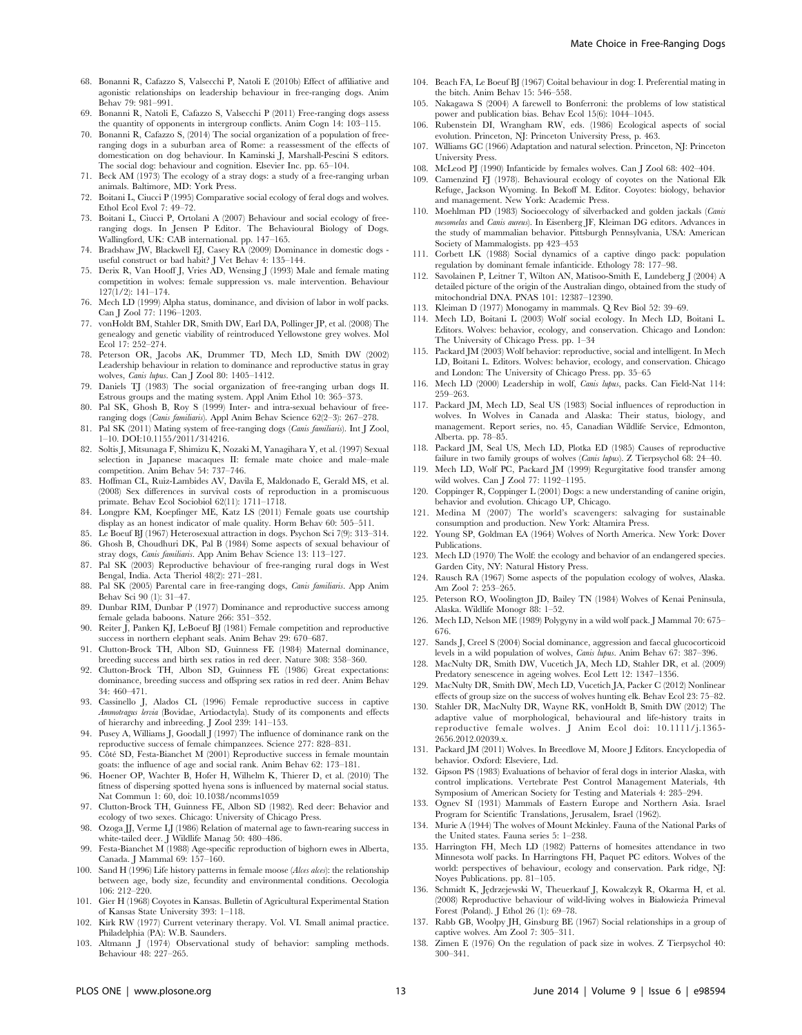- 68. Bonanni R, Cafazzo S, Valsecchi P, Natoli E (2010b) Effect of affiliative and agonistic relationships on leadership behaviour in free-ranging dogs. Anim Behav 79: 981–991.
- 69. Bonanni R, Natoli E, Cafazzo S, Valsecchi P (2011) Free-ranging dogs assess the quantity of opponents in intergroup conflicts. Anim Cogn 14: 103–115.
- 70. Bonanni R, Cafazzo S, (2014) The social organization of a population of freeranging dogs in a suburban area of Rome: a reassessment of the effects of domestication on dog behaviour. In Kaminski J, Marshall-Pescini S editors. The social dog: behaviour and cognition. Elsevier Inc. pp. 65–104.
- 71. Beck AM (1973) The ecology of a stray dogs: a study of a free-ranging urban animals. Baltimore, MD: York Press.
- 72. Boitani L, Ciucci P (1995) Comparative social ecology of feral dogs and wolves. Ethol Ecol Evol 7: 49–72.
- 73. Boitani L, Ciucci P, Ortolani A (2007) Behaviour and social ecology of freeranging dogs. In Jensen P Editor. The Behavioural Biology of Dogs. Wallingford, UK: CAB international. pp. 147–165.
- 74. Bradshaw JW, Blackwell EJ, Casey RA (2009) Dominance in domestic dogs useful construct or bad habit? J Vet Behav 4: 135–144.
- 75. Derix R, Van Hooff J, Vries AD, Wensing J (1993) Male and female mating competition in wolves: female suppression vs. male intervention. Behaviour 127(1/2): 141–174.
- 76. Mech LD (1999) Alpha status, dominance, and division of labor in wolf packs. Can J Zool 77: 1196–1203.
- 77. vonHoldt BM, Stahler DR, Smith DW, Earl DA, Pollinger JP, et al. (2008) The genealogy and genetic viability of reintroduced Yellowstone grey wolves. Mol Ecol 17: 252–274.
- 78. Peterson OR, Jacobs AK, Drummer TD, Mech LD, Smith DW (2002) Leadership behaviour in relation to dominance and reproductive status in gray wolves, Canis lupus. Can J Zool 80: 1405–1412.
- 79. Daniels TJ (1983) The social organization of free-ranging urban dogs II. Estrous groups and the mating system. Appl Anim Ethol 10: 365–373.
- 80. Pal SK, Ghosh B, Roy S (1999) Inter- and intra-sexual behaviour of freeranging dogs (Canis familiaris). Appl Anim Behav Science 62(2–3): 267–278.
- 81. Pal SK (2011) Mating system of free-ranging dogs (Canis familiaris). Int J Zool, 1–10. DOI:10.1155/2011/314216.
- 82. Soltis J, Mitsunaga F, Shimizu K, Nozaki M, Yanagihara Y, et al. (1997) Sexual selection in Japanese macaques II: female mate choice and male–male competition. Anim Behav 54: 737–746.
- 83. Hoffman CL, Ruiz-Lambides AV, Davila E, Maldonado E, Gerald MS, et al. (2008) Sex differences in survival costs of reproduction in a promiscuous primate. Behav Ecol Sociobiol 62(11): 1711–1718.
- 84. Longpre KM, Koepfinger ME, Katz LS (2011) Female goats use courtship display as an honest indicator of male quality. Horm Behav 60: 505–511.
- 85. Le Boeuf BJ (1967) Heterosexual attraction in dogs. Psychon Sci 7(9): 313–314. 86. Ghosh B, Choudhuri DK, Pal B (1984) Some aspects of sexual behaviour of
- stray dogs, Canis familiaris. App Anim Behav Science 13: 113–127. 87. Pal SK (2003) Reproductive behaviour of free-ranging rural dogs in West
- Bengal, India. Acta Theriol 48(2): 271–281. 88. Pal SK (2005) Parental care in free-ranging dogs, Canis familiaris. App Anim Behav Sci 90 (1): 31–47.
- 89. Dunbar RIM, Dunbar P (1977) Dominance and reproductive success among female gelada baboons. Nature 266: 351–352.
- 90. Reiter J, Panken KJ, LeBoeuf BJ (1981) Female competition and reproductive success in northern elephant seals. Anim Behav 29: 670–687.
- 91. Clutton-Brock TH, Albon SD, Guinness FE (1984) Maternal dominance, breeding success and birth sex ratios in red deer. Nature 308: 358–360.
- 92. Clutton-Brock TH, Albon SD, Guinness FE (1986) Great expectations: dominance, breeding success and offspring sex ratios in red deer. Anim Behav 34: 460–471.
- 93. Cassinello J, Alados CL (1996) Female reproductive success in captive Ammotragus lervia (Bovidae, Artiodactyla). Study of its components and effects of hierarchy and inbreeding. J Zool 239: 141–153.
- 94. Pusey A, Williams J, Goodall J (1997) The influence of dominance rank on the reproductive success of female chimpanzees. Science 277: 828–831.
- 95. Côté SD, Festa-Bianchet M (2001) Reproductive success in female mountain goats: the influence of age and social rank. Anim Behav 62: 173–181.
- 96. Hoener OP, Wachter B, Hofer H, Wilhelm K, Thierer D, et al. (2010) The fitness of dispersing spotted hyena sons is influenced by maternal social status. Nat Commun 1: 60, doi: 10.1038/ncomms1059
- 97. Clutton-Brock TH, Guinness FE, Albon SD (1982). Red deer: Behavior and ecology of two sexes. Chicago: University of Chicago Press.
- 98. Ozoga JJ, Verme LJ (1986) Relation of maternal age to fawn-rearing success in white-tailed deer. J Wildlife Manag 50: 480–486.
- Festa-Bianchet M (1988) Age-specific reproduction of bighorn ewes in Alberta, Canada. J Mammal 69: 157–160.
- 100. Sand H (1996) Life history patterns in female moose (Alces alces): the relationship between age, body size, fecundity and environmental conditions. Oecologia 106: 212–220.
- 101. Gier H (1968) Coyotes in Kansas. Bulletin of Agricultural Experimental Station of Kansas State University 393: 1–118.
- 102. Kirk RW (1977) Current veterinary therapy. Vol. VI. Small animal practice. Philadelphia (PA): W.B. Saunders.
- 103. Altmann J (1974) Observational study of behavior: sampling methods. Behaviour 48: 227–265.
- 104. Beach FA, Le Boeuf BJ (1967) Coital behaviour in dog: I. Preferential mating in the bitch. Anim Behav 15: 546–558.
- 105. Nakagawa S (2004) A farewell to Bonferroni: the problems of low statistical power and publication bias. Behav Ecol 15(6): 1044–1045.
- 106. Rubenstein DI, Wrangham RW, eds. (1986) Ecological aspects of social evolution. Princeton, NJ: Princeton University Press, p. 463.
- 107. Williams GC (1966) Adaptation and natural selection. Princeton, NJ: Princeton University Press.
- 108. McLeod PJ (1990) Infanticide by females wolves. Can J Zool 68: 402–404.
- 109. Camenzind FJ (1978). Behavioural ecology of coyotes on the National Elk Refuge, Jackson Wyoming. In Bekoff M. Editor. Coyotes: biology, behavior and management. New York: Academic Press.
- 110. Moehlman PD (1983) Socioecology of silverbacked and golden jackals (Canis mesomelas and Canis aureus). In Eisenberg JF, Kleiman DG editors. Advances in the study of mammalian behavior. Pittsburgh Pennsylvania, USA: American Society of Mammalogists. pp 423–453
- 111. Corbett LK (1988) Social dynamics of a captive dingo pack: population regulation by dominant female infanticide. Ethology 78: 177–98.
- 112. Savolainen P, Leitner T, Wilton AN, Matisoo-Smith E, Lundeberg J (2004) A detailed picture of the origin of the Australian dingo, obtained from the study of mitochondrial DNA. PNAS 101: 12387–12390.
- 113. Kleiman D (1977) Monogamy in mammals. Q Rev Biol 52: 39–69.
- 114. Mech LD, Boitani L (2003) Wolf social ecology. In Mech LD, Boitani L. Editors. Wolves: behavior, ecology, and conservation. Chicago and London: The University of Chicago Press. pp. 1–34
- 115. Packard JM (2003) Wolf behavior: reproductive, social and intelligent. In Mech LD, Boitani L. Editors. Wolves: behavior, ecology, and conservation. Chicago and London: The University of Chicago Press. pp. 35–65
- 116. Mech LD (2000) Leadership in wolf, Canis lupus, packs. Can Field-Nat 114: 259–263.
- 117. Packard JM, Mech LD, Seal US (1983) Social influences of reproduction in wolves. In Wolves in Canada and Alaska: Their status, biology, and management. Report series, no. 45, Canadian Wildlife Service, Edmonton, Alberta. pp. 78–85.
- 118. Packard JM, Seal US, Mech LD, Plotka ED (1985) Causes of reproductive failure in two family groups of wolves (Canis lupus). Z Tierpsychol  $68: 24-40$ .
- 119. Mech LD, Wolf PC, Packard JM (1999) Regurgitative food transfer among wild wolves. Can J Zool 77: 1192–1195.
- 120. Coppinger R, Coppinger L (2001) Dogs: a new understanding of canine origin, behavior and evolution. Chicago UP, Chicago.
- 121. Medina M (2007) The world's scavengers: salvaging for sustainable consumption and production. New York: Altamira Press.
- 122. Young SP, Goldman EA (1964) Wolves of North America. New York: Dover Publications.
- 123. Mech LD (1970) The Wolf: the ecology and behavior of an endangered species. Garden City, NY: Natural History Press.
- 124. Rausch RA (1967) Some aspects of the population ecology of wolves, Alaska. Am Zool 7: 253–265.
- 125. Peterson RO, Woolington JD, Bailey TN (1984) Wolves of Kenai Peninsula, Alaska. Wildlife Monogr 88: 1–52.
- 126. Mech LD, Nelson ME (1989) Polygyny in a wild wolf pack. J Mammal 70: 675– 676.
- 127. Sands J, Creel S (2004) Social dominance, aggression and faecal glucocorticoid levels in a wild population of wolves, Canis lupus. Anim Behav 67: 387-396.
- 128. MacNulty DR, Smith DW, Vucetich JA, Mech LD, Stahler DR, et al. (2009) Predatory senescence in ageing wolves. Ecol Lett 12: 1347–1356.
- 129. MacNulty DR, Smith DW, Mech LD, Vucetich JA, Packer C (2012) Nonlinear effects of group size on the success of wolves hunting elk. Behav Ecol 23: 75–82.
- 130. Stahler DR, MacNulty DR, Wayne RK, vonHoldt B, Smith DW (2012) The adaptive value of morphological, behavioural and life-history traits in reproductive female wolves. J Anim Ecol doi: 10.1111/j.1365- 2656.2012.02039.x.
- 131. Packard JM (2011) Wolves. In Breedlove M, Moore J Editors. Encyclopedia of behavior. Oxford: Elseviere, Ltd.
- 132. Gipson PS (1983) Evaluations of behavior of feral dogs in interior Alaska, with control implications. Vertebrate Pest Control Management Materials, 4th Symposium of American Society for Testing and Materials 4: 285–294.
- 133. Ognev SI (1931) Mammals of Eastern Europe and Northern Asia. Israel Program for Scientific Translations, Jerusalem, Israel (1962).
- 134. Murie A (1944) The wolves of Mount Mckinley. Fauna of the National Parks of the United states. Fauna series 5: 1–238.
- 135. Harrington FH, Mech LD (1982) Patterns of homesites attendance in two Minnesota wolf packs. In Harringtons FH, Paquet PC editors. Wolves of the world: perspectives of behaviour, ecology and conservation. Park ridge, NJ: Noyes Publications. pp. 81–105.
- 136. Schmidt K, Jędrzejewski W, Theuerkauf J, Kowalczyk R, Okarma H, et al. (2008) Reproductive behaviour of wild-living wolves in Białowieża Primeval Forest (Poland). J Ethol 26 (1): 69–78.
- 137. Rabb GB, Woolpy JH, Ginsburg BE (1967) Social relationships in a group of captive wolves. Am Zool 7: 305–311.
- 138. Zimen E (1976) On the regulation of pack size in wolves. Z Tierpsychol 40: 300–341.